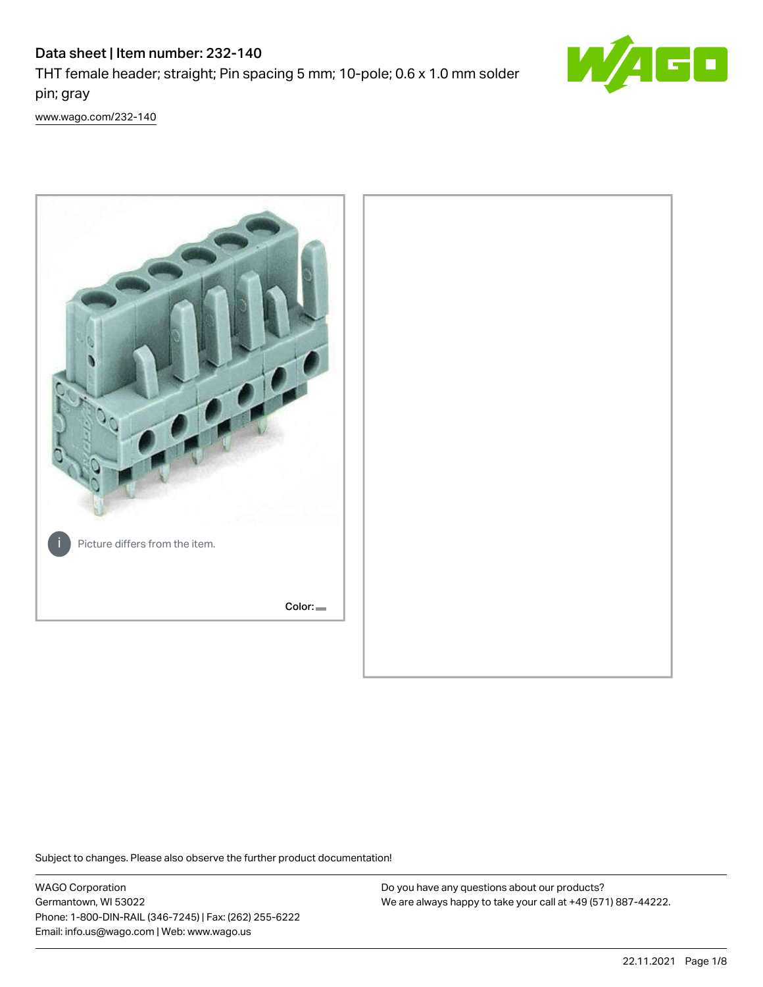# Data sheet | Item number: 232-140

THT female header; straight; Pin spacing 5 mm; 10-pole; 0.6 x 1.0 mm solder pin; gray



[www.wago.com/232-140](http://www.wago.com/232-140)



Subject to changes. Please also observe the further product documentation!

WAGO Corporation Germantown, WI 53022 Phone: 1-800-DIN-RAIL (346-7245) | Fax: (262) 255-6222 Email: info.us@wago.com | Web: www.wago.us

Do you have any questions about our products? We are always happy to take your call at +49 (571) 887-44222.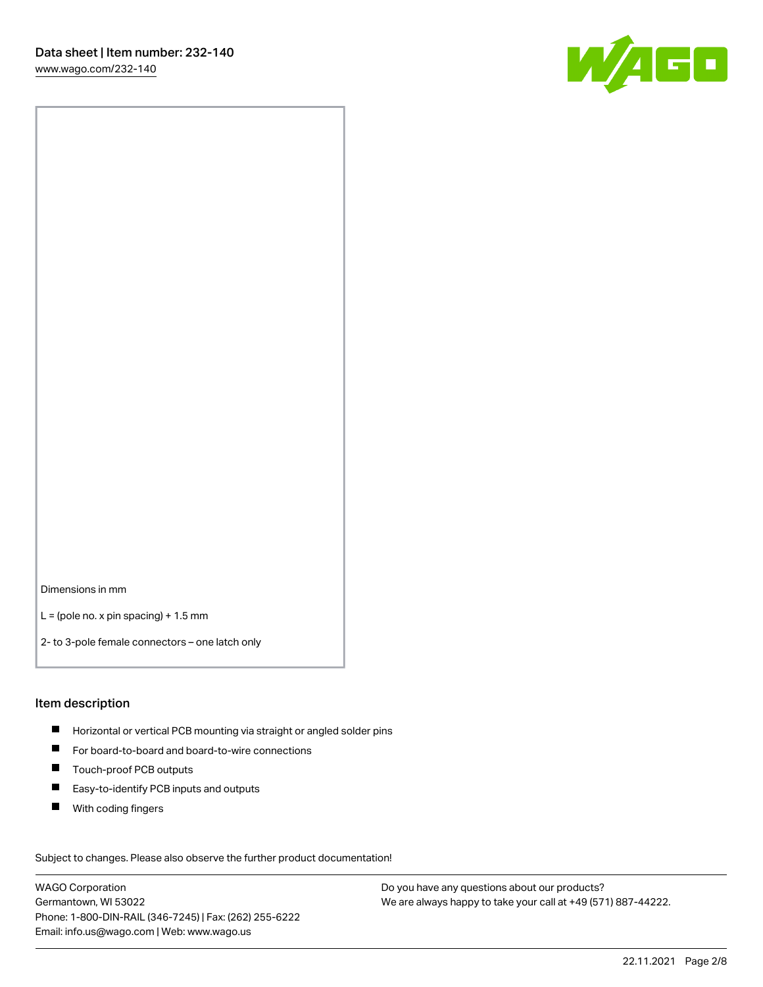W/160

Dimensions in mm

 $L =$  (pole no. x pin spacing) + 1.5 mm

2- to 3-pole female connectors – one latch only

#### Item description

- **Horizontal or vertical PCB mounting via straight or angled solder pins**
- For board-to-board and board-to-wire connections
- Touch-proof PCB outputs  $\blacksquare$
- $\blacksquare$ Easy-to-identify PCB inputs and outputs
- $\blacksquare$ With coding fingers

Subject to changes. Please also observe the further product documentation! Data

WAGO Corporation Germantown, WI 53022 Phone: 1-800-DIN-RAIL (346-7245) | Fax: (262) 255-6222 Email: info.us@wago.com | Web: www.wago.us

Do you have any questions about our products? We are always happy to take your call at +49 (571) 887-44222.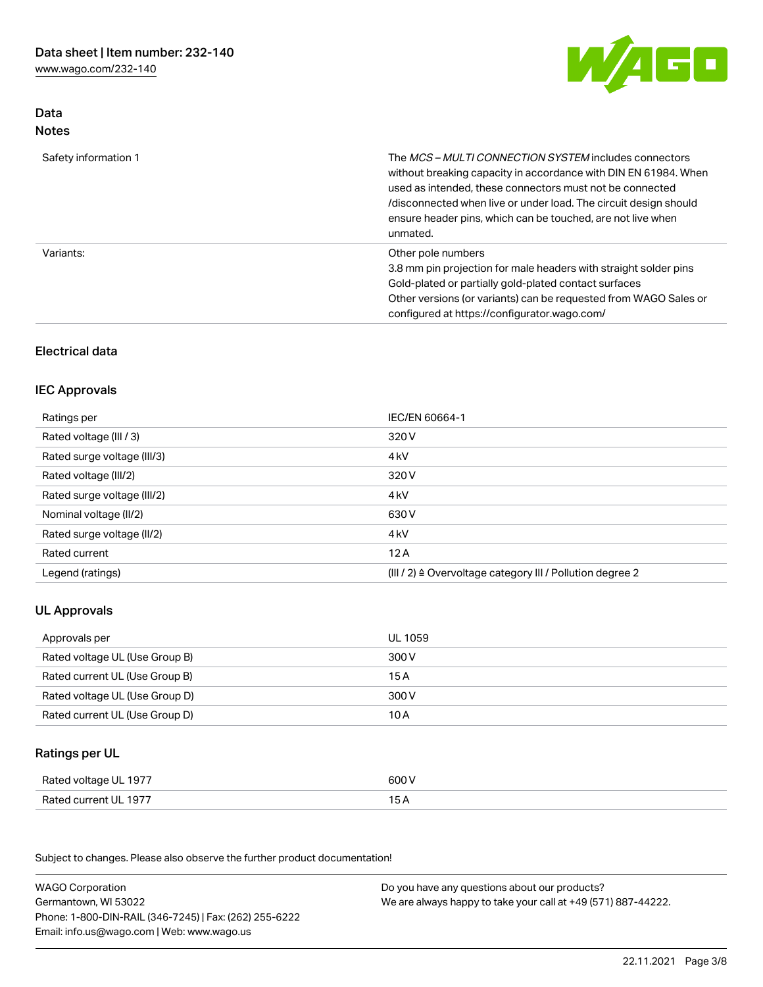

## Data Notes

| Safety information 1 | The <i>MCS – MULTI CONNECTION SYSTEM</i> includes connectors<br>without breaking capacity in accordance with DIN EN 61984. When<br>used as intended, these connectors must not be connected<br>/disconnected when live or under load. The circuit design should<br>ensure header pins, which can be touched, are not live when<br>unmated. |
|----------------------|--------------------------------------------------------------------------------------------------------------------------------------------------------------------------------------------------------------------------------------------------------------------------------------------------------------------------------------------|
| Variants:            | Other pole numbers<br>3.8 mm pin projection for male headers with straight solder pins<br>Gold-plated or partially gold-plated contact surfaces<br>Other versions (or variants) can be requested from WAGO Sales or<br>configured at https://configurator.wago.com/                                                                        |

## Electrical data

### IEC Approvals

| Ratings per                 | IEC/EN 60664-1                                                        |
|-----------------------------|-----------------------------------------------------------------------|
| Rated voltage (III / 3)     | 320 V                                                                 |
| Rated surge voltage (III/3) | 4 <sub>k</sub> V                                                      |
| Rated voltage (III/2)       | 320 V                                                                 |
| Rated surge voltage (III/2) | 4 <sub>k</sub> V                                                      |
| Nominal voltage (II/2)      | 630 V                                                                 |
| Rated surge voltage (II/2)  | 4 <sub>k</sub> V                                                      |
| Rated current               | 12A                                                                   |
| Legend (ratings)            | $(III / 2)$ $\triangle$ Overvoltage category III / Pollution degree 2 |

## UL Approvals

| Approvals per                  | UL 1059 |
|--------------------------------|---------|
| Rated voltage UL (Use Group B) | 300 V   |
| Rated current UL (Use Group B) | 15 A    |
| Rated voltage UL (Use Group D) | 300 V   |
| Rated current UL (Use Group D) | 10 A    |

## Ratings per UL

| Rated voltage UL 1977 | 600 V |
|-----------------------|-------|
| Rated current UL 1977 |       |

| <b>WAGO Corporation</b>                                | Do you have any questions about our products?                 |
|--------------------------------------------------------|---------------------------------------------------------------|
| Germantown, WI 53022                                   | We are always happy to take your call at +49 (571) 887-44222. |
| Phone: 1-800-DIN-RAIL (346-7245)   Fax: (262) 255-6222 |                                                               |
| Email: info.us@wago.com   Web: www.wago.us             |                                                               |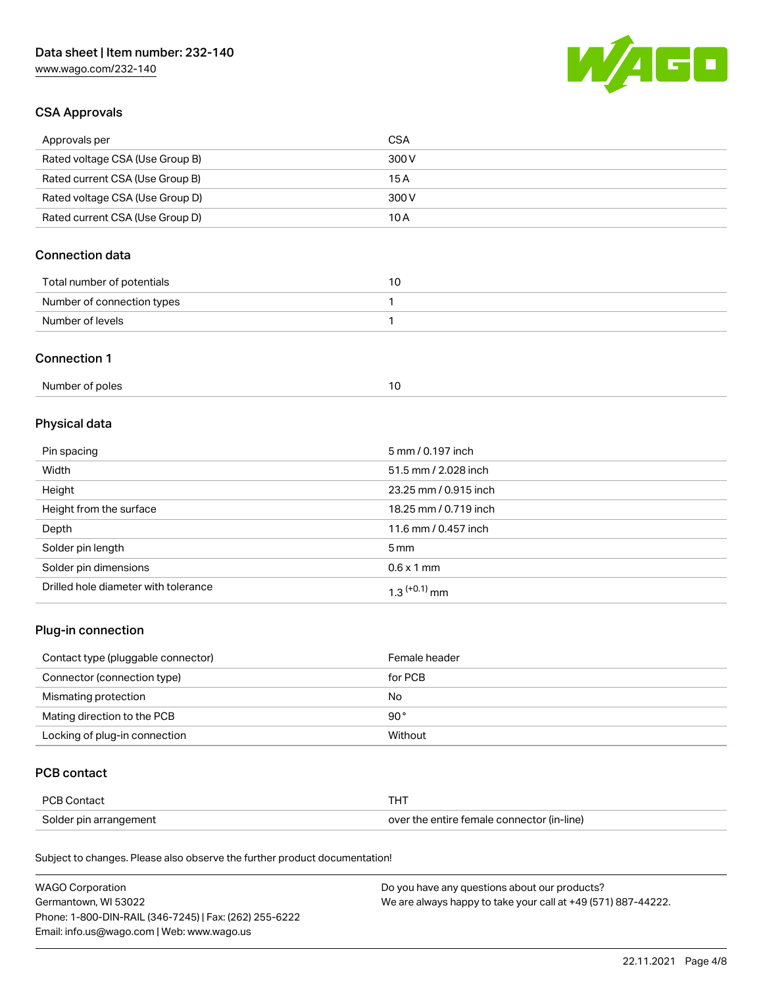

## CSA Approvals

| Approvals per                   | CSA   |
|---------------------------------|-------|
| Rated voltage CSA (Use Group B) | 300 V |
| Rated current CSA (Use Group B) | 15 A  |
| Rated voltage CSA (Use Group D) | 300 V |
| Rated current CSA (Use Group D) | 10 A  |

## Connection data

| Total number of potentials |  |
|----------------------------|--|
| Number of connection types |  |
| Number of levels           |  |

#### Connection 1

| Number of poles |  |
|-----------------|--|
|                 |  |

## Physical data

| Pin spacing                          | 5 mm / 0.197 inch     |
|--------------------------------------|-----------------------|
| Width                                | 51.5 mm / 2.028 inch  |
| Height                               | 23.25 mm / 0.915 inch |
| Height from the surface              | 18.25 mm / 0.719 inch |
| Depth                                | 11.6 mm / 0.457 inch  |
| Solder pin length                    | $5 \text{ mm}$        |
| Solder pin dimensions                | $0.6 \times 1$ mm     |
| Drilled hole diameter with tolerance | $1.3$ $(+0.1)$ mm     |

## Plug-in connection

| Contact type (pluggable connector) | Female header |
|------------------------------------|---------------|
| Connector (connection type)        | for PCB       |
| Mismating protection               | No            |
| Mating direction to the PCB        | $90^{\circ}$  |
| Locking of plug-in connection      | Without       |

## PCB contact

| PCB Contact            |                                            |
|------------------------|--------------------------------------------|
| Solder pin arrangement | over the entire female connector (in-line) |

| <b>WAGO Corporation</b>                                | Do you have any questions about our products?                 |
|--------------------------------------------------------|---------------------------------------------------------------|
| Germantown, WI 53022                                   | We are always happy to take your call at +49 (571) 887-44222. |
| Phone: 1-800-DIN-RAIL (346-7245)   Fax: (262) 255-6222 |                                                               |
| Email: info.us@wago.com   Web: www.wago.us             |                                                               |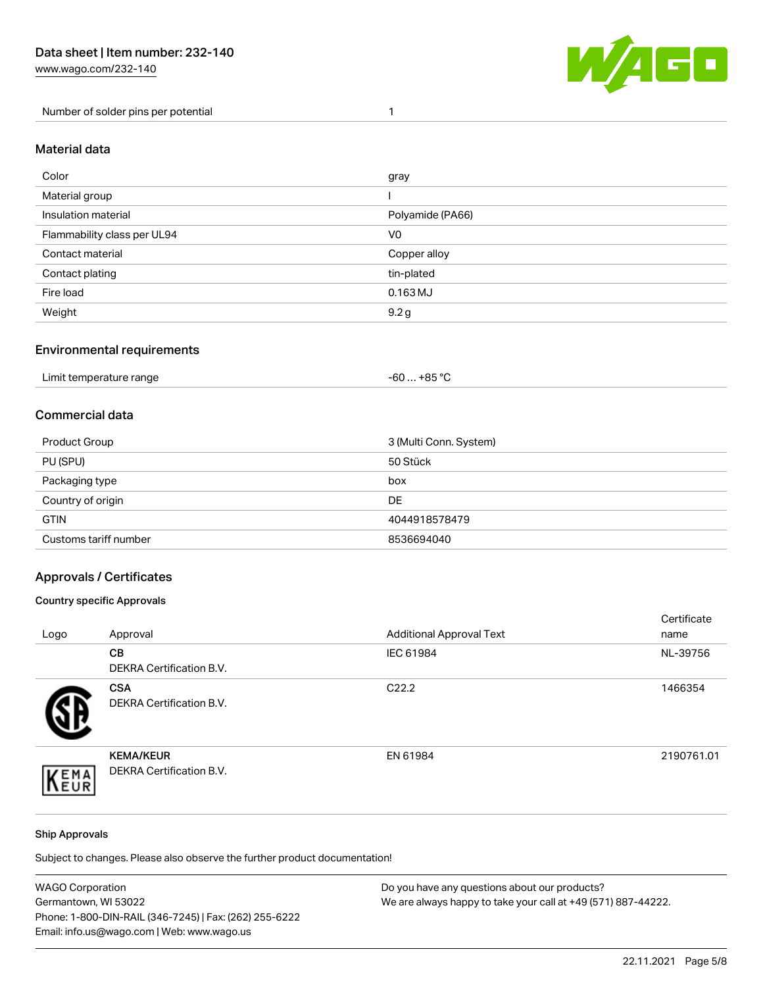Number of solder pins per potential 1



#### Material data

| Color                       | gray             |
|-----------------------------|------------------|
| Material group              |                  |
| Insulation material         | Polyamide (PA66) |
| Flammability class per UL94 | V <sub>0</sub>   |
| Contact material            | Copper alloy     |
| Contact plating             | tin-plated       |
| Fire load                   | $0.163$ MJ       |
| Weight                      | 9.2 <sub>g</sub> |

#### Environmental requirements

| Limit temperature range<br>. | +85 °C<br>-60 |  |
|------------------------------|---------------|--|
|------------------------------|---------------|--|

## Commercial data

| Product Group         | 3 (Multi Conn. System) |
|-----------------------|------------------------|
| PU (SPU)              | 50 Stück               |
| Packaging type        | box                    |
| Country of origin     | DE                     |
| <b>GTIN</b>           | 4044918578479          |
| Customs tariff number | 8536694040             |

## Approvals / Certificates

#### Country specific Approvals

| Logo | Approval                                            | <b>Additional Approval Text</b> | Certificate<br>name |
|------|-----------------------------------------------------|---------------------------------|---------------------|
|      | CВ<br><b>DEKRA Certification B.V.</b>               | IEC 61984                       | NL-39756            |
|      | <b>CSA</b><br>DEKRA Certification B.V.              | C <sub>22.2</sub>               | 1466354             |
| EMA  | <b>KEMA/KEUR</b><br><b>DEKRA Certification B.V.</b> | EN 61984                        | 2190761.01          |

#### Ship Approvals

| <b>WAGO Corporation</b>                                | Do you have any questions about our products?                 |
|--------------------------------------------------------|---------------------------------------------------------------|
| Germantown, WI 53022                                   | We are always happy to take your call at +49 (571) 887-44222. |
| Phone: 1-800-DIN-RAIL (346-7245)   Fax: (262) 255-6222 |                                                               |
| Email: info.us@wago.com   Web: www.wago.us             |                                                               |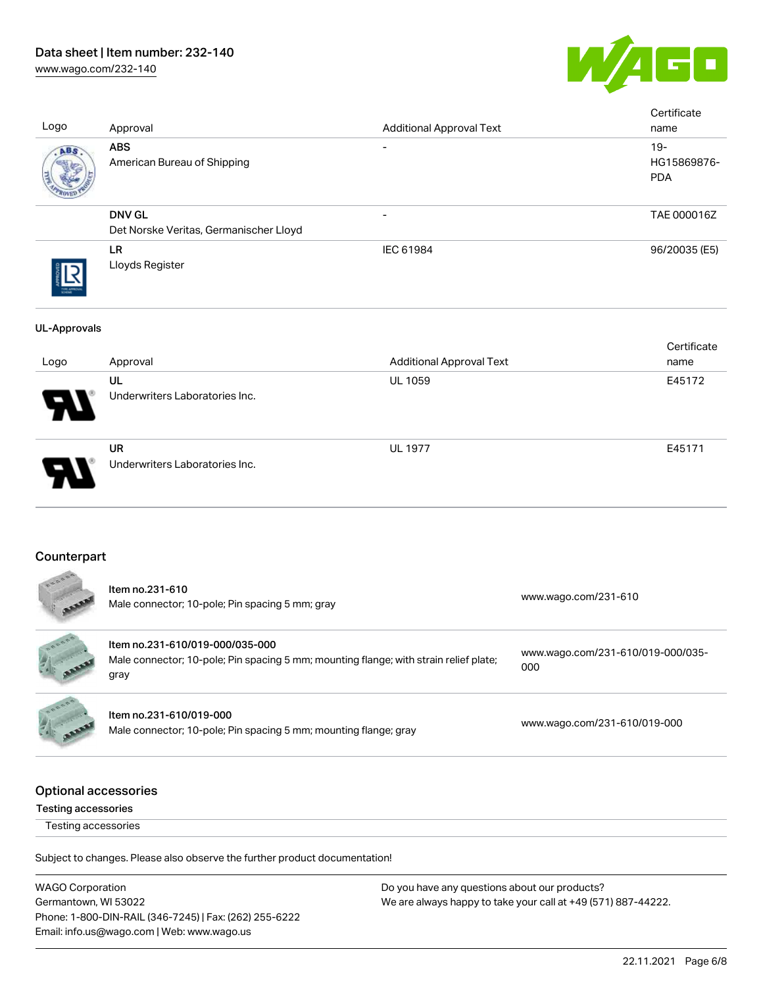# Data sheet | Item number: 232-140

[www.wago.com/232-140](http://www.wago.com/232-140)



| Logo                | Approval                                                | <b>Additional Approval Text</b> | Certificate<br>name                 |
|---------------------|---------------------------------------------------------|---------------------------------|-------------------------------------|
| ABS                 | <b>ABS</b><br>American Bureau of Shipping               | $\overline{\phantom{a}}$        | $19 -$<br>HG15869876-<br><b>PDA</b> |
|                     | <b>DNV GL</b><br>Det Norske Veritas, Germanischer Lloyd | $\overline{\phantom{a}}$        | TAE 000016Z                         |
|                     | <b>LR</b><br>Lloyds Register                            | IEC 61984                       | 96/20035 (E5)                       |
| <b>UL-Approvals</b> |                                                         |                                 |                                     |
| Logo                | Approval                                                | <b>Additional Approval Text</b> | Certificate<br>name                 |
|                     | UL<br>Underwriters Laboratories Inc.                    | <b>UL 1059</b>                  | E45172                              |
|                     | <b>UR</b><br>Underwriters Laboratories Inc.             | <b>UL 1977</b>                  | E45171                              |
|                     |                                                         |                                 |                                     |

## **Counterpart**

| EDDOGS                                             | Item no.231-610<br>Male connector; 10-pole; Pin spacing 5 mm; gray                                                               | www.wago.com/231-610                     |
|----------------------------------------------------|----------------------------------------------------------------------------------------------------------------------------------|------------------------------------------|
|                                                    | Item no.231-610/019-000/035-000<br>Male connector; 10-pole; Pin spacing 5 mm; mounting flange; with strain relief plate;<br>gray | www.wago.com/231-610/019-000/035-<br>000 |
|                                                    | Item no.231-610/019-000<br>Male connector; 10-pole; Pin spacing 5 mm; mounting flange; gray                                      | www.wago.com/231-610/019-000             |
| Optional accessories<br><b>Testing accessories</b> |                                                                                                                                  |                                          |

Testing accessories

| <b>WAGO Corporation</b>                                | Do you have any questions about our products?                 |
|--------------------------------------------------------|---------------------------------------------------------------|
| Germantown, WI 53022                                   | We are always happy to take your call at +49 (571) 887-44222. |
| Phone: 1-800-DIN-RAIL (346-7245)   Fax: (262) 255-6222 |                                                               |
| Email: info.us@wago.com   Web: www.wago.us             |                                                               |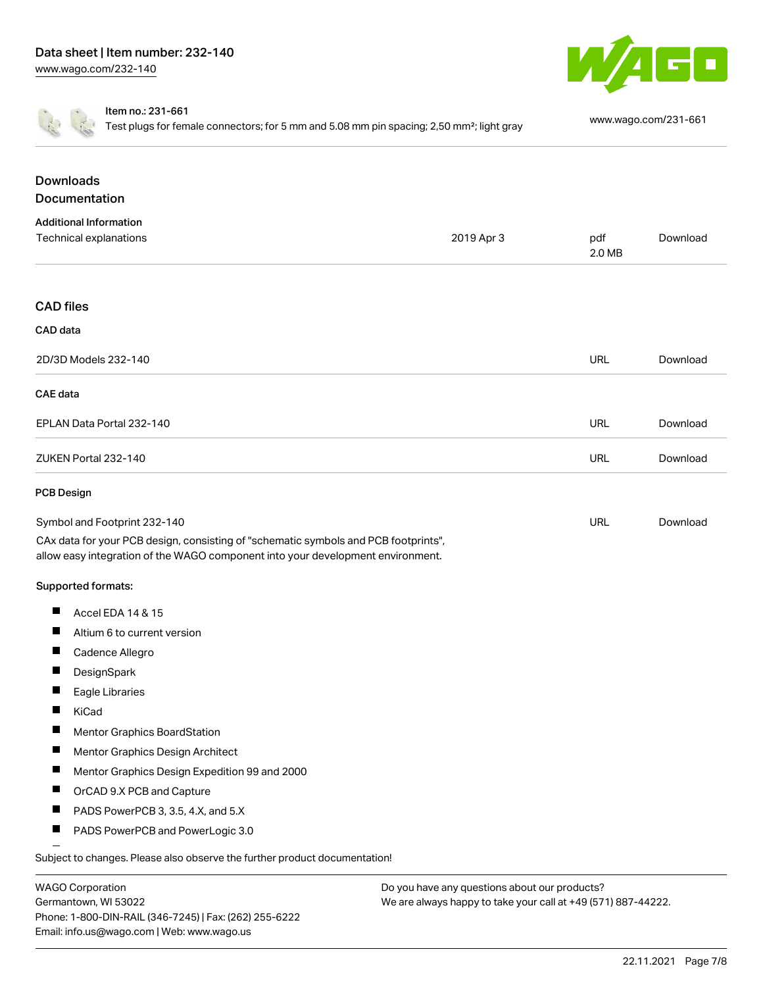



Item no.: 231-661

Test plugs for female connectors; for 5 mm and 5.08 mm pin spacing; 2,50 mm²; light gray [www.wago.com/231-661](http://www.wago.com/231-661)

| <b>Downloads</b><br>Documentation                                                                                                                                      |            |               |          |
|------------------------------------------------------------------------------------------------------------------------------------------------------------------------|------------|---------------|----------|
| <b>Additional Information</b>                                                                                                                                          |            |               |          |
| Technical explanations                                                                                                                                                 | 2019 Apr 3 | pdf<br>2.0 MB | Download |
| <b>CAD</b> files                                                                                                                                                       |            |               |          |
| CAD data                                                                                                                                                               |            |               |          |
| 2D/3D Models 232-140                                                                                                                                                   |            | <b>URL</b>    | Download |
| <b>CAE</b> data                                                                                                                                                        |            |               |          |
| EPLAN Data Portal 232-140                                                                                                                                              |            | <b>URL</b>    | Download |
| ZUKEN Portal 232-140                                                                                                                                                   |            | <b>URL</b>    | Download |
| <b>PCB Design</b>                                                                                                                                                      |            |               |          |
| Symbol and Footprint 232-140                                                                                                                                           |            | <b>URL</b>    | Download |
| CAx data for your PCB design, consisting of "schematic symbols and PCB footprints",<br>allow easy integration of the WAGO component into your development environment. |            |               |          |
| Supported formats:                                                                                                                                                     |            |               |          |
| ш<br>Accel EDA 14 & 15                                                                                                                                                 |            |               |          |
| Ш<br>Altium 6 to current version                                                                                                                                       |            |               |          |
| Ц<br>Cadence Allegro                                                                                                                                                   |            |               |          |
| ш<br>DesignSpark                                                                                                                                                       |            |               |          |
| H.<br>Eagle Libraries                                                                                                                                                  |            |               |          |
| П<br>KiCad                                                                                                                                                             |            |               |          |
| ш<br>Mentor Graphics BoardStation                                                                                                                                      |            |               |          |
| ш<br>Mentor Graphics Design Architect                                                                                                                                  |            |               |          |
| ш<br>Mentor Graphics Design Expedition 99 and 2000                                                                                                                     |            |               |          |
| ш<br>OrCAD 9.X PCB and Capture                                                                                                                                         |            |               |          |
| ш<br>PADS PowerPCB 3, 3.5, 4.X, and 5.X                                                                                                                                |            |               |          |
| ш<br>PADS PowerPCB and PowerLogic 3.0                                                                                                                                  |            |               |          |

WAGO Corporation Germantown, WI 53022 Phone: 1-800-DIN-RAIL (346-7245) | Fax: (262) 255-6222 Email: info.us@wago.com | Web: www.wago.us

Do you have any questions about our products? We are always happy to take your call at +49 (571) 887-44222.